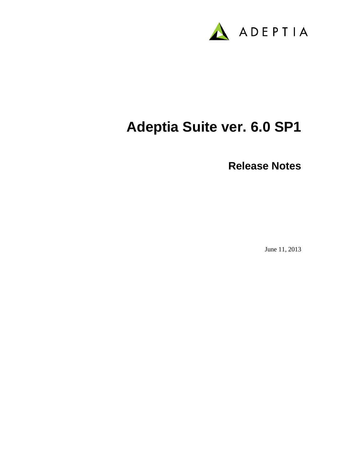

# **Adeptia Suite ver. 6.0 SP1**

**Release Notes**

June 11, 2013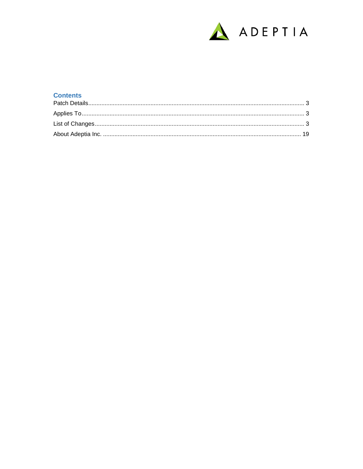

#### **Contents**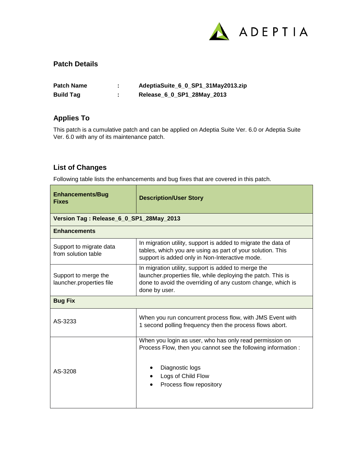

#### <span id="page-2-0"></span>**Patch Details**

| <b>Patch Name</b> | AdeptiaSuite_6_0_SP1_31May2013.zip |
|-------------------|------------------------------------|
| <b>Build Tag</b>  | Release_6_0_SP1_28May_2013         |

## <span id="page-2-1"></span>**Applies To**

This patch is a cumulative patch and can be applied on Adeptia Suite Ver. 6.0 or Adeptia Suite Ver. 6.0 with any of its maintenance patch.

### <span id="page-2-2"></span>**List of Changes**

Following table lists the enhancements and bug fixes that are covered in this patch.

| <b>Enhancements/Bug</b><br><b>Fixes</b>          | <b>Description/User Story</b>                                                                                                                                                                       |
|--------------------------------------------------|-----------------------------------------------------------------------------------------------------------------------------------------------------------------------------------------------------|
| Version Tag: Release_6_0_SP1_28May_2013          |                                                                                                                                                                                                     |
| <b>Enhancements</b>                              |                                                                                                                                                                                                     |
| Support to migrate data<br>from solution table   | In migration utility, support is added to migrate the data of<br>tables, which you are using as part of your solution. This<br>support is added only in Non-Interactive mode.                       |
| Support to merge the<br>launcher.properties file | In migration utility, support is added to merge the<br>launcher.properties file, while deploying the patch. This is<br>done to avoid the overriding of any custom change, which is<br>done by user. |
| <b>Bug Fix</b>                                   |                                                                                                                                                                                                     |
| AS-3233                                          | When you run concurrent process flow, with JMS Event with<br>1 second polling frequency then the process flows abort.                                                                               |
| AS-3208                                          | When you login as user, who has only read permission on<br>Process Flow, then you cannot see the following information :<br>Diagnostic logs<br>Logs of Child Flow<br>Process flow repository        |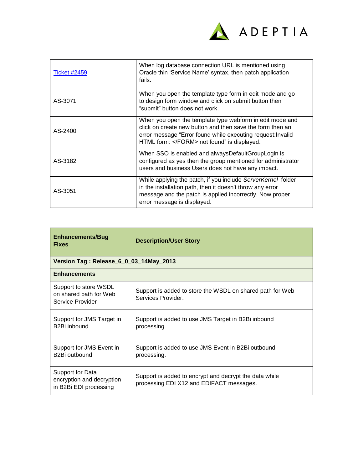

| <b>Ticket #2459</b> | When log database connection URL is mentioned using<br>Oracle thin 'Service Name' syntax, then patch application<br>fails.                                                                                                   |
|---------------------|------------------------------------------------------------------------------------------------------------------------------------------------------------------------------------------------------------------------------|
| AS-3071             | When you open the template type form in edit mode and go<br>to design form window and click on submit button then<br>"submit" button does not work.                                                                          |
| AS-2400             | When you open the template type webform in edit mode and<br>click on create new button and then save the form then an<br>error message "Error found while executing request: Invalid<br>HTML form:  not found" is displayed. |
| AS-3182             | When SSO is enabled and alwaysDefaultGroupLogin is<br>configured as yes then the group mentioned for administrator<br>users and business Users does not have any impact.                                                     |
| AS-3051             | While applying the patch, if you include ServerKernel folder<br>in the installation path, then it doesn't throw any error<br>message and the patch is applied incorrectly. Now proper<br>error message is displayed.         |

| <b>Enhancements/Bug</b><br><b>Fixes</b>                                 | <b>Description/User Story</b>                                                                      |
|-------------------------------------------------------------------------|----------------------------------------------------------------------------------------------------|
| Version Tag: Release_6_0_03_14May_2013                                  |                                                                                                    |
| <b>Enhancements</b>                                                     |                                                                                                    |
| Support to store WSDL<br>on shared path for Web<br>Service Provider     | Support is added to store the WSDL on shared path for Web<br>Services Provider.                    |
| Support for JMS Target in<br>B <sub>2</sub> Bi inbound                  | Support is added to use JMS Target in B2Bi inbound<br>processing.                                  |
| Support for JMS Event in<br>B2Bi outbound                               | Support is added to use JMS Event in B2Bi outbound<br>processing.                                  |
| Support for Data<br>encryption and decryption<br>in B2Bi EDI processing | Support is added to encrypt and decrypt the data while<br>processing EDI X12 and EDIFACT messages. |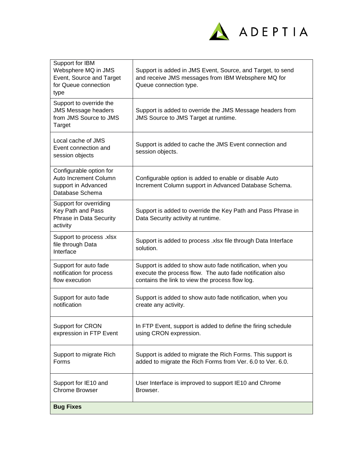

| <b>Bug Fixes</b>                                                                                   |                                                                                                                                                                           |
|----------------------------------------------------------------------------------------------------|---------------------------------------------------------------------------------------------------------------------------------------------------------------------------|
| Support for IE10 and<br><b>Chrome Browser</b>                                                      | User Interface is improved to support IE10 and Chrome<br>Browser.                                                                                                         |
| Support to migrate Rich<br>Forms                                                                   | Support is added to migrate the Rich Forms. This support is<br>added to migrate the Rich Forms from Ver. 6.0 to Ver. 6.0.                                                 |
| Support for CRON<br>expression in FTP Event                                                        | In FTP Event, support is added to define the firing schedule<br>using CRON expression.                                                                                    |
| Support for auto fade<br>notification                                                              | Support is added to show auto fade notification, when you<br>create any activity.                                                                                         |
| Support for auto fade<br>notification for process<br>flow execution                                | Support is added to show auto fade notification, when you<br>execute the process flow. The auto fade notification also<br>contains the link to view the process flow log. |
| Support to process .xlsx<br>file through Data<br>Interface                                         | Support is added to process .xlsx file through Data Interface<br>solution.                                                                                                |
| Support for overriding<br>Key Path and Pass<br>Phrase in Data Security<br>activity                 | Support is added to override the Key Path and Pass Phrase in<br>Data Security activity at runtime.                                                                        |
| Configurable option for<br>Auto Increment Column<br>support in Advanced<br>Database Schema         | Configurable option is added to enable or disable Auto<br>Increment Column support in Advanced Database Schema.                                                           |
| Local cache of JMS<br>Event connection and<br>session objects                                      | Support is added to cache the JMS Event connection and<br>session objects.                                                                                                |
| Support to override the<br><b>JMS Message headers</b><br>from JMS Source to JMS<br><b>Target</b>   | Support is added to override the JMS Message headers from<br>JMS Source to JMS Target at runtime.                                                                         |
| Support for IBM<br>Websphere MQ in JMS<br>Event, Source and Target<br>for Queue connection<br>type | Support is added in JMS Event, Source, and Target, to send<br>and receive JMS messages from IBM Websphere MQ for<br>Queue connection type.                                |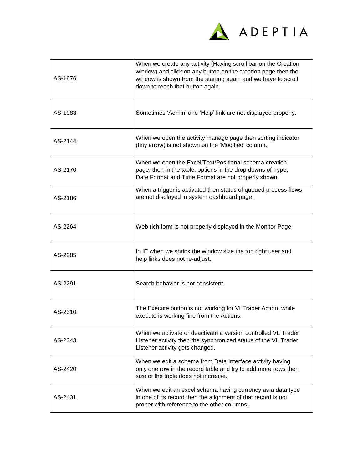

| AS-1876 | When we create any activity (Having scroll bar on the Creation<br>window) and click on any button on the creation page then the<br>window is shown from the starting again and we have to scroll<br>down to reach that button again. |
|---------|--------------------------------------------------------------------------------------------------------------------------------------------------------------------------------------------------------------------------------------|
| AS-1983 | Sometimes 'Admin' and 'Help' link are not displayed properly.                                                                                                                                                                        |
| AS-2144 | When we open the activity manage page then sorting indicator<br>(tiny arrow) is not shown on the 'Modified' column.                                                                                                                  |
| AS-2170 | When we open the Excel/Text/Positional schema creation<br>page, then in the table, options in the drop downs of Type,<br>Date Format and Time Format are not properly shown.                                                         |
| AS-2186 | When a trigger is activated then status of queued process flows<br>are not displayed in system dashboard page.                                                                                                                       |
| AS-2264 | Web rich form is not properly displayed in the Monitor Page.                                                                                                                                                                         |
| AS-2285 | In IE when we shrink the window size the top right user and<br>help links does not re-adjust.                                                                                                                                        |
| AS-2291 | Search behavior is not consistent.                                                                                                                                                                                                   |
| AS-2310 | The Execute button is not working for VLTrader Action, while<br>execute is working fine from the Actions.                                                                                                                            |
| AS-2343 | When we activate or deactivate a version controlled VL Trader<br>Listener activity then the synchronized status of the VL Trader<br>Listener activity gets changed.                                                                  |
| AS-2420 | When we edit a schema from Data Interface activity having<br>only one row in the record table and try to add more rows then<br>size of the table does not increase.                                                                  |
| AS-2431 | When we edit an excel schema having currency as a data type<br>in one of its record then the alignment of that record is not<br>proper with reference to the other columns.                                                          |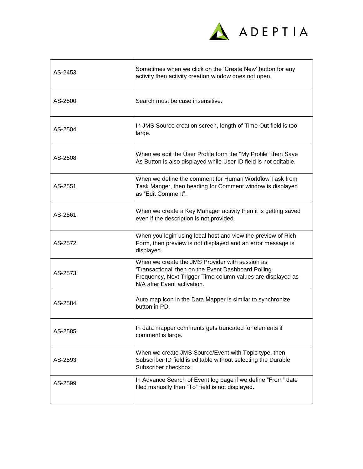

| AS-2453 | Sometimes when we click on the 'Create New' button for any<br>activity then activity creation window does not open.                                                                                  |
|---------|------------------------------------------------------------------------------------------------------------------------------------------------------------------------------------------------------|
| AS-2500 | Search must be case insensitive.                                                                                                                                                                     |
| AS-2504 | In JMS Source creation screen, length of Time Out field is too<br>large.                                                                                                                             |
| AS-2508 | When we edit the User Profile form the "My Profile" then Save<br>As Button is also displayed while User ID field is not editable.                                                                    |
| AS-2551 | When we define the comment for Human Workflow Task from<br>Task Manger, then heading for Comment window is displayed<br>as "Edit Comment".                                                           |
| AS-2561 | When we create a Key Manager activity then it is getting saved<br>even if the description is not provided.                                                                                           |
| AS-2572 | When you login using local host and view the preview of Rich<br>Form, then preview is not displayed and an error message is<br>displayed.                                                            |
| AS-2573 | When we create the JMS Provider with session as<br>'Transactional' then on the Event Dashboard Polling<br>Frequency, Next Trigger Time column values are displayed as<br>N/A after Event activation. |
| AS-2584 | Auto map icon in the Data Mapper is similar to synchronize<br>button in PD.                                                                                                                          |
| AS-2585 | In data mapper comments gets truncated for elements if<br>comment is large.                                                                                                                          |
| AS-2593 | When we create JMS Source/Event with Topic type, then<br>Subscriber ID field is editable without selecting the Durable<br>Subscriber checkbox.                                                       |
| AS-2599 | In Advance Search of Event log page if we define "From" date<br>filed manually then "To" field is not displayed.                                                                                     |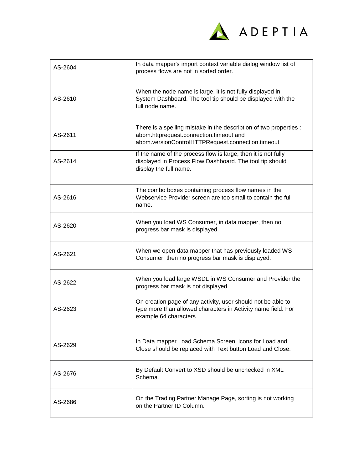

| AS-2604 | In data mapper's import context variable dialog window list of<br>process flows are not in sorted order.                                                           |
|---------|--------------------------------------------------------------------------------------------------------------------------------------------------------------------|
| AS-2610 | When the node name is large, it is not fully displayed in<br>System Dashboard. The tool tip should be displayed with the<br>full node name.                        |
| AS-2611 | There is a spelling mistake in the description of two properties :<br>abpm.httprequest.connection.timeout and<br>abpm.versionControlHTTPRequest.connection.timeout |
| AS-2614 | If the name of the process flow is large, then it is not fully<br>displayed in Process Flow Dashboard. The tool tip should<br>display the full name.               |
| AS-2616 | The combo boxes containing process flow names in the<br>Webservice Provider screen are too small to contain the full<br>name.                                      |
| AS-2620 | When you load WS Consumer, in data mapper, then no<br>progress bar mask is displayed.                                                                              |
| AS-2621 | When we open data mapper that has previously loaded WS<br>Consumer, then no progress bar mask is displayed.                                                        |
| AS-2622 | When you load large WSDL in WS Consumer and Provider the<br>progress bar mask is not displayed.                                                                    |
| AS-2623 | On creation page of any activity, user should not be able to<br>type more than allowed characters in Activity name field. For<br>example 64 characters.            |
| AS-2629 | In Data mapper Load Schema Screen, icons for Load and<br>Close should be replaced with Text button Load and Close.                                                 |
| AS-2676 | By Default Convert to XSD should be unchecked in XML<br>Schema.                                                                                                    |
| AS-2686 | On the Trading Partner Manage Page, sorting is not working<br>on the Partner ID Column.                                                                            |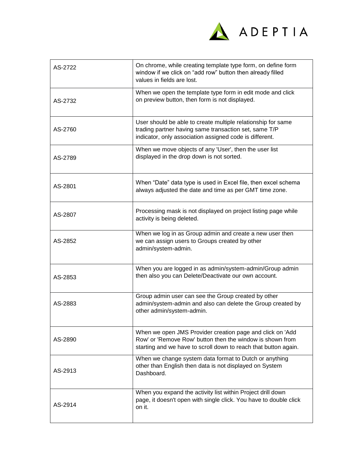

| AS-2722 | On chrome, while creating template type form, on define form<br>window if we click on "add row" button then already filled<br>values in fields are lost.                                  |
|---------|-------------------------------------------------------------------------------------------------------------------------------------------------------------------------------------------|
| AS-2732 | When we open the template type form in edit mode and click<br>on preview button, then form is not displayed.                                                                              |
| AS-2760 | User should be able to create multiple relationship for same<br>trading partner having same transaction set, same T/P<br>indicator, only association assigned code is different.          |
| AS-2789 | When we move objects of any 'User', then the user list<br>displayed in the drop down is not sorted.                                                                                       |
| AS-2801 | When "Date" data type is used in Excel file, then excel schema<br>always adjusted the date and time as per GMT time zone.                                                                 |
| AS-2807 | Processing mask is not displayed on project listing page while<br>activity is being deleted.                                                                                              |
| AS-2852 | When we log in as Group admin and create a new user then<br>we can assign users to Groups created by other<br>admin/system-admin.                                                         |
| AS-2853 | When you are logged in as admin/system-admin/Group admin<br>then also you can Delete/Deactivate our own account.                                                                          |
| AS-2883 | Group admin user can see the Group created by other<br>admin/system-admin and also can delete the Group created by<br>other admin/system-admin.                                           |
| AS-2890 | When we open JMS Provider creation page and click on 'Add<br>Row' or 'Remove Row' button then the window is shown from<br>starting and we have to scroll down to reach that button again. |
| AS-2913 | When we change system data format to Dutch or anything<br>other than English then data is not displayed on System<br>Dashboard.                                                           |
| AS-2914 | When you expand the activity list within Project drill down<br>page, it doesn't open with single click. You have to double click<br>on it.                                                |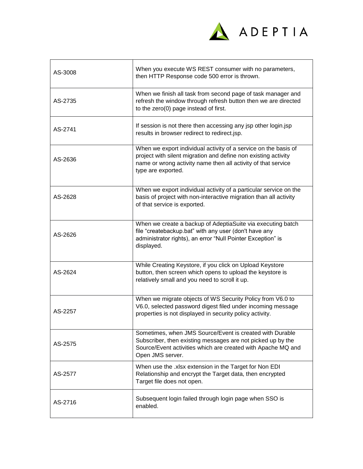

| AS-3008 | When you execute WS REST consumer with no parameters,<br>then HTTP Response code 500 error is thrown.                                                                                                                    |
|---------|--------------------------------------------------------------------------------------------------------------------------------------------------------------------------------------------------------------------------|
| AS-2735 | When we finish all task from second page of task manager and<br>refresh the window through refresh button then we are directed<br>to the zero(0) page instead of first.                                                  |
| AS-2741 | If session is not there then accessing any jsp other login.jsp<br>results in browser redirect to redirect.jsp.                                                                                                           |
| AS-2636 | When we export individual activity of a service on the basis of<br>project with silent migration and define non existing activity<br>name or wrong activity name then all activity of that service<br>type are exported. |
| AS-2628 | When we export individual activity of a particular service on the<br>basis of project with non-interactive migration than all activity<br>of that service is exported.                                                   |
| AS-2626 | When we create a backup of AdeptiaSuite via executing batch<br>file "createbackup.bat" with any user (don't have any<br>administrator rights), an error "Null Pointer Exception" is<br>displayed.                        |
| AS-2624 | While Creating Keystore, if you click on Upload Keystore<br>button, then screen which opens to upload the keystore is<br>relatively small and you need to scroll it up.                                                  |
| AS-2257 | When we migrate objects of WS Security Policy from V6.0 to<br>V6.0, selected password digest filed under incoming message<br>properties is not displayed in security policy activity.                                    |
| AS-2575 | Sometimes, when JMS Source/Event is created with Durable<br>Subscriber, then existing messages are not picked up by the<br>Source/Event activities which are created with Apache MQ and<br>Open JMS server.              |
| AS-2577 | When use the .xlsx extension in the Target for Non EDI<br>Relationship and encrypt the Target data, then encrypted<br>Target file does not open.                                                                         |
| AS-2716 | Subsequent login failed through login page when SSO is<br>enabled.                                                                                                                                                       |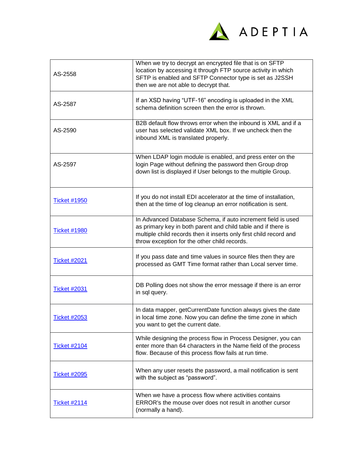

| AS-2558             | When we try to decrypt an encrypted file that is on SFTP<br>location by accessing it through FTP source activity in which<br>SFTP is enabled and SFTP Connector type is set as J2SSH<br>then we are not able to decrypt that.                       |
|---------------------|-----------------------------------------------------------------------------------------------------------------------------------------------------------------------------------------------------------------------------------------------------|
| AS-2587             | If an XSD having "UTF-16" encoding is uploaded in the XML<br>schema definition screen then the error is thrown.                                                                                                                                     |
| AS-2590             | B2B default flow throws error when the inbound is XML and if a<br>user has selected validate XML box. If we uncheck then the<br>inbound XML is translated properly.                                                                                 |
| AS-2597             | When LDAP login module is enabled, and press enter on the<br>login Page without defining the password then Group drop<br>down list is displayed if User belongs to the multiple Group.                                                              |
| <b>Ticket #1950</b> | If you do not install EDI accelerator at the time of installation,<br>then at the time of log cleanup an error notification is sent.                                                                                                                |
| <b>Ticket #1980</b> | In Advanced Database Schema, if auto increment field is used<br>as primary key in both parent and child table and if there is<br>multiple child records then it inserts only first child record and<br>throw exception for the other child records. |
| <b>Ticket #2021</b> | If you pass date and time values in source files then they are<br>processed as GMT Time format rather than Local server time.                                                                                                                       |
| <b>Ticket #2031</b> | DB Polling does not show the error message if there is an error<br>in sql query.                                                                                                                                                                    |
| <b>Ticket #2053</b> | In data mapper, getCurrentDate function always gives the date<br>in local time zone. Now you can define the time zone in which<br>you want to get the current date.                                                                                 |
| <b>Ticket #2104</b> | While designing the process flow in Process Designer, you can<br>enter more than 64 characters in the Name field of the process<br>flow. Because of this process flow fails at run time.                                                            |
| <b>Ticket #2095</b> | When any user resets the password, a mail notification is sent<br>with the subject as "password".                                                                                                                                                   |
| <b>Ticket #2114</b> | When we have a process flow where activities contains<br>ERROR's the mouse over does not result in another cursor<br>(normally a hand).                                                                                                             |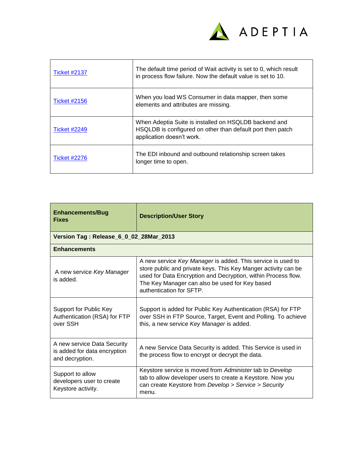

| <b>Ticket #2137</b> | The default time period of Wait activity is set to 0, which result<br>in process flow failure. Now the default value is set to 10.               |
|---------------------|--------------------------------------------------------------------------------------------------------------------------------------------------|
| <b>Ticket #2156</b> | When you load WS Consumer in data mapper, then some<br>elements and attributes are missing.                                                      |
| <b>Ticket #2249</b> | When Adeptia Suite is installed on HSQLDB backend and<br>HSQLDB is configured on other than default port then patch<br>application doesn't work. |
| <b>Ticket #2276</b> | The EDI inbound and outbound relationship screen takes<br>longer time to open.                                                                   |

| <b>Enhancements/Bug</b><br><b>Fixes</b>                                        | <b>Description/User Story</b>                                                                                                                                                                                                                                                |  |
|--------------------------------------------------------------------------------|------------------------------------------------------------------------------------------------------------------------------------------------------------------------------------------------------------------------------------------------------------------------------|--|
| Version Tag: Release_6_0_02_28Mar_2013                                         |                                                                                                                                                                                                                                                                              |  |
| <b>Enhancements</b>                                                            |                                                                                                                                                                                                                                                                              |  |
| A new service Key Manager<br>is added.                                         | A new service Key Manager is added. This service is used to<br>store public and private keys. This Key Manger activity can be<br>used for Data Encryption and Decryption, within Process flow.<br>The Key Manager can also be used for Key based<br>authentication for SFTP. |  |
| Support for Public Key<br>Authentication (RSA) for FTP<br>over SSH             | Support is added for Public Key Authentication (RSA) for FTP<br>over SSH in FTP Source, Target, Event and Polling. To achieve<br>this, a new service Key Manager is added.                                                                                                   |  |
| A new service Data Security<br>is added for data encryption<br>and decryption. | A new Service Data Security is added. This Service is used in<br>the process flow to encrypt or decrypt the data.                                                                                                                                                            |  |
| Support to allow<br>developers user to create<br>Keystore activity.            | Keystore service is moved from Administer tab to Develop<br>tab to allow developer users to create a Keystore. Now you<br>can create Keystore from Develop > Service > Security<br>menu.                                                                                     |  |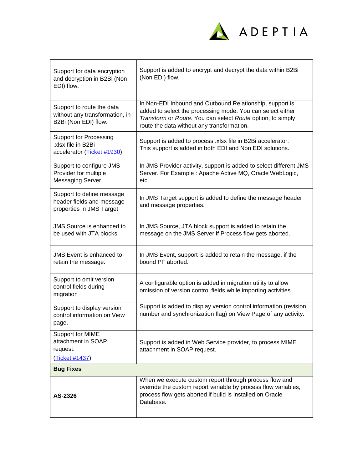

| Support for data encryption<br>and decryption in B2Bi (Non<br>EDI) flow.            | Support is added to encrypt and decrypt the data within B2Bi<br>(Non EDI) flow.                                                                                                                                                    |
|-------------------------------------------------------------------------------------|------------------------------------------------------------------------------------------------------------------------------------------------------------------------------------------------------------------------------------|
| Support to route the data<br>without any transformation, in<br>B2Bi (Non EDI) flow. | In Non-EDI Inbound and Outbound Relationship, support is<br>added to select the processing mode. You can select either<br>Transform or Route. You can select Route option, to simply<br>route the data without any transformation. |
| <b>Support for Processing</b><br>.xlsx file in B2Bi<br>accelerator (Ticket #1930)   | Support is added to process .xlsx file in B2Bi accelerator.<br>This support is added in both EDI and Non EDI solutions.                                                                                                            |
| Support to configure JMS<br>Provider for multiple<br><b>Messaging Server</b>        | In JMS Provider activity, support is added to select different JMS<br>Server. For Example : Apache Active MQ, Oracle WebLogic,<br>etc.                                                                                             |
| Support to define message<br>header fields and message<br>properties in JMS Target  | In JMS Target support is added to define the message header<br>and message properties.                                                                                                                                             |
| <b>JMS Source is enhanced to</b><br>be used with JTA blocks                         | In JMS Source, JTA block support is added to retain the<br>message on the JMS Server if Process flow gets aborted.                                                                                                                 |
| <b>JMS</b> Event is enhanced to<br>retain the message.                              | In JMS Event, support is added to retain the message, if the<br>bound PF aborted.                                                                                                                                                  |
| Support to omit version<br>control fields during<br>migration                       | A configurable option is added in migration utility to allow<br>omission of version control fields while importing activities.                                                                                                     |
| Support to display version<br>control information on View<br>page.                  | Support is added to display version control information (revision<br>number and synchronization flag) on View Page of any activity.                                                                                                |
| Support for MIME<br>attachment in SOAP<br>request.<br>(Ticket #1437)                | Support is added in Web Service provider, to process MIME<br>attachment in SOAP request.                                                                                                                                           |
| <b>Bug Fixes</b>                                                                    |                                                                                                                                                                                                                                    |
| AS-2326                                                                             | When we execute custom report through process flow and<br>override the custom report variable by process flow variables,<br>process flow gets aborted if build is installed on Oracle<br>Database.                                 |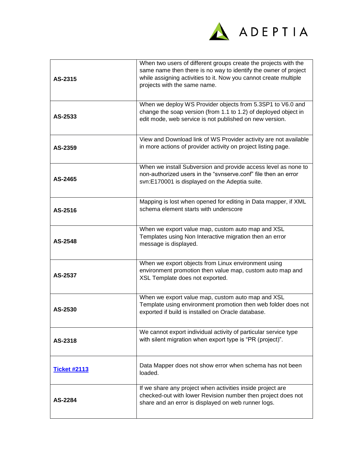

| AS-2315             | When two users of different groups create the projects with the<br>same name then there is no way to identify the owner of project<br>while assigning activities to it. Now you cannot create multiple<br>projects with the same name. |
|---------------------|----------------------------------------------------------------------------------------------------------------------------------------------------------------------------------------------------------------------------------------|
| AS-2533             | When we deploy WS Provider objects from 5.3SP1 to V6.0 and<br>change the soap version (from 1.1 to 1.2) of deployed object in<br>edit mode, web service is not published on new version.                                               |
| AS-2359             | View and Download link of WS Provider activity are not available<br>in more actions of provider activity on project listing page.                                                                                                      |
| AS-2465             | When we install Subversion and provide access level as none to<br>non-authorized users in the "svnserve.conf" file then an error<br>svn:E170001 is displayed on the Adeptia suite.                                                     |
| AS-2516             | Mapping is lost when opened for editing in Data mapper, if XML<br>schema element starts with underscore                                                                                                                                |
| AS-2548             | When we export value map, custom auto map and XSL<br>Templates using Non Interactive migration then an error<br>message is displayed.                                                                                                  |
| AS-2537             | When we export objects from Linux environment using<br>environment promotion then value map, custom auto map and<br>XSL Template does not exported.                                                                                    |
| AS-2530             | When we export value map, custom auto map and XSL<br>Template using environment promotion then web folder does not<br>exported if build is installed on Oracle database.                                                               |
| AS-2318             | We cannot export individual activity of particular service type<br>with silent migration when export type is "PR (project)".                                                                                                           |
| <b>Ticket #2113</b> | Data Mapper does not show error when schema has not been<br>loaded.                                                                                                                                                                    |
| AS-2284             | If we share any project when activities inside project are<br>checked-out with lower Revision number then project does not<br>share and an error is displayed on web runner logs.                                                      |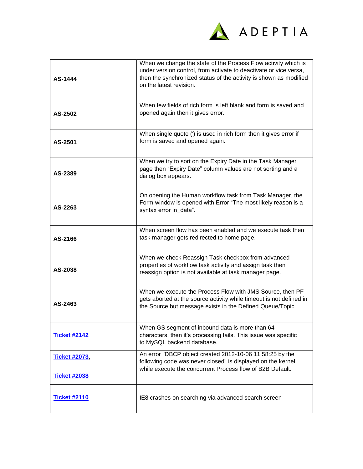

| AS-1444                                     | When we change the state of the Process Flow activity which is<br>under version control, from activate to deactivate or vice versa,<br>then the synchronized status of the activity is shown as modified<br>on the latest revision. |
|---------------------------------------------|-------------------------------------------------------------------------------------------------------------------------------------------------------------------------------------------------------------------------------------|
| AS-2502                                     | When few fields of rich form is left blank and form is saved and<br>opened again then it gives error.                                                                                                                               |
| AS-2501                                     | When single quote (') is used in rich form then it gives error if<br>form is saved and opened again.                                                                                                                                |
| AS-2389                                     | When we try to sort on the Expiry Date in the Task Manager<br>page then "Expiry Date" column values are not sorting and a<br>dialog box appears.                                                                                    |
| AS-2263                                     | On opening the Human workflow task from Task Manager, the<br>Form window is opened with Error "The most likely reason is a<br>syntax error in_data".                                                                                |
| AS-2166                                     | When screen flow has been enabled and we execute task then<br>task manager gets redirected to home page.                                                                                                                            |
| AS-2038                                     | When we check Reassign Task checkbox from advanced<br>properties of workflow task activity and assign task then<br>reassign option is not available at task manager page.                                                           |
| AS-2463                                     | When we execute the Process Flow with JMS Source, then PF<br>gets aborted at the source activity while timeout is not defined in<br>the Source but message exists in the Defined Queue/Topic.                                       |
| <b>Ticket #2142</b>                         | When GS segment of inbound data is more than 64<br>characters, then it's processing fails. This issue was specific<br>to MySQL backend database.                                                                                    |
| <b>Ticket #2073,</b><br><b>Ticket #2038</b> | An error "DBCP object created 2012-10-06 11:58:25 by the<br>following code was never closed" is displayed on the kernel<br>while execute the concurrent Process flow of B2B Default.                                                |
| <b>Ticket #2110</b>                         | IE8 crashes on searching via advanced search screen                                                                                                                                                                                 |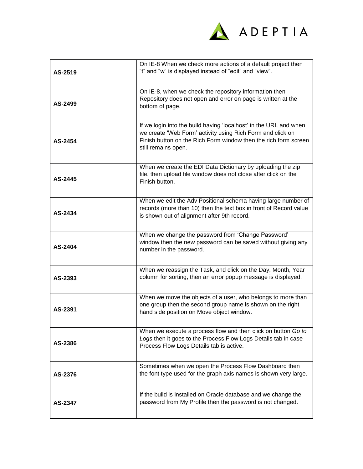

| AS-2519 | On IE-8 When we check more actions of a default project then<br>"t" and "w" is displayed instead of "edit" and "view".                                                                                                    |
|---------|---------------------------------------------------------------------------------------------------------------------------------------------------------------------------------------------------------------------------|
| AS-2499 | On IE-8, when we check the repository information then<br>Repository does not open and error on page is written at the<br>bottom of page.                                                                                 |
| AS-2454 | If we login into the build having 'localhost' in the URL and when<br>we create 'Web Form' activity using Rich Form and click on<br>Finish button on the Rich Form window then the rich form screen<br>still remains open. |
| AS-2445 | When we create the EDI Data Dictionary by uploading the zip<br>file, then upload file window does not close after click on the<br>Finish button.                                                                          |
| AS-2434 | When we edit the Adv Positional schema having large number of<br>records (more than 10) then the text box in front of Record value<br>is shown out of alignment after 9th record.                                         |
| AS-2404 | When we change the password from 'Change Password'<br>window then the new password can be saved without giving any<br>number in the password.                                                                             |
| AS-2393 | When we reassign the Task, and click on the Day, Month, Year<br>column for sorting, then an error popup message is displayed.                                                                                             |
| AS-2391 | When we move the objects of a user, who belongs to more than<br>one group then the second group name is shown on the right<br>hand side position on Move object window.                                                   |
| AS-2386 | When we execute a process flow and then click on button Go to<br>Logs then it goes to the Process Flow Logs Details tab in case<br>Process Flow Logs Details tab is active.                                               |
| AS-2376 | Sometimes when we open the Process Flow Dashboard then<br>the font type used for the graph axis names is shown very large.                                                                                                |
| AS-2347 | If the build is installed on Oracle database and we change the<br>password from My Profile then the password is not changed.                                                                                              |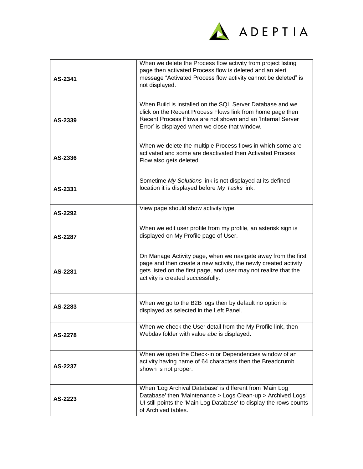

| AS-2341 | When we delete the Process flow activity from project listing<br>page then activated Process flow is deleted and an alert<br>message "Activated Process flow activity cannot be deleted" is<br>not displayed.                             |
|---------|-------------------------------------------------------------------------------------------------------------------------------------------------------------------------------------------------------------------------------------------|
| AS-2339 | When Build is installed on the SQL Server Database and we<br>click on the Recent Process Flows link from home page then<br>Recent Process Flows are not shown and an 'Internal Server<br>Error' is displayed when we close that window.   |
| AS-2336 | When we delete the multiple Process flows in which some are<br>activated and some are deactivated then Activated Process<br>Flow also gets deleted.                                                                                       |
| AS-2331 | Sometime My Solutions link is not displayed at its defined<br>location it is displayed before My Tasks link.                                                                                                                              |
| AS-2292 | View page should show activity type.                                                                                                                                                                                                      |
| AS-2287 | When we edit user profile from my profile, an asterisk sign is<br>displayed on My Profile page of User.                                                                                                                                   |
| AS-2281 | On Manage Activity page, when we navigate away from the first<br>page and then create a new activity, the newly created activity<br>gets listed on the first page, and user may not realize that the<br>activity is created successfully. |
| AS-2283 | When we go to the B2B logs then by default no option is<br>displayed as selected in the Left Panel.                                                                                                                                       |
| AS-2278 | When we check the User detail from the My Profile link, then<br>Webdav folder with value abc is displayed.                                                                                                                                |
| AS-2237 | When we open the Check-in or Dependencies window of an<br>activity having name of 64 characters then the Breadcrumb<br>shown is not proper.                                                                                               |
| AS-2223 | When 'Log Archival Database' is different from 'Main Log<br>Database' then 'Maintenance > Logs Clean-up > Archived Logs'<br>UI still points the 'Main Log Database' to display the rows counts<br>of Archived tables.                     |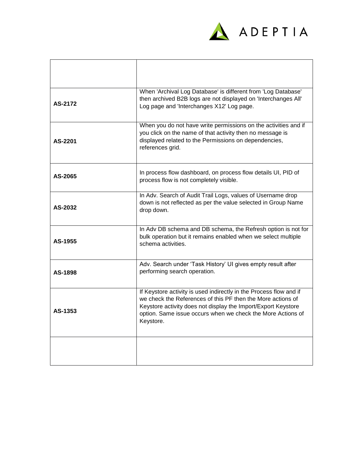

| AS-2172 | When 'Archival Log Database' is different from 'Log Database'<br>then archived B2B logs are not displayed on 'Interchanges All'<br>Log page and 'Interchanges X12' Log page.                                                                                                   |
|---------|--------------------------------------------------------------------------------------------------------------------------------------------------------------------------------------------------------------------------------------------------------------------------------|
| AS-2201 | When you do not have write permissions on the activities and if<br>you click on the name of that activity then no message is<br>displayed related to the Permissions on dependencies,<br>references grid.                                                                      |
| AS-2065 | In process flow dashboard, on process flow details UI, PID of<br>process flow is not completely visible.                                                                                                                                                                       |
| AS-2032 | In Adv. Search of Audit Trail Logs, values of Username drop<br>down is not reflected as per the value selected in Group Name<br>drop down.                                                                                                                                     |
| AS-1955 | In Adv DB schema and DB schema, the Refresh option is not for<br>bulk operation but it remains enabled when we select multiple<br>schema activities.                                                                                                                           |
| AS-1898 | Adv. Search under 'Task History' UI gives empty result after<br>performing search operation.                                                                                                                                                                                   |
| AS-1353 | If Keystore activity is used indirectly in the Process flow and if<br>we check the References of this PF then the More actions of<br>Keystore activity does not display the Import/Export Keystore<br>option. Same issue occurs when we check the More Actions of<br>Keystore. |
|         |                                                                                                                                                                                                                                                                                |